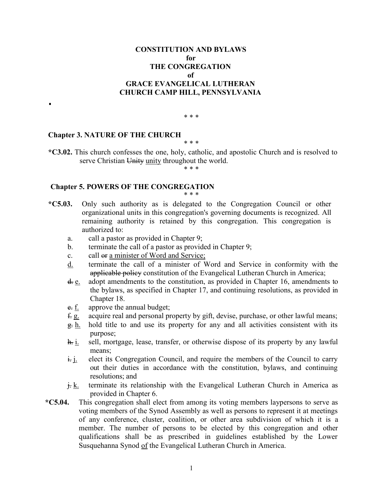## **CONSTITUTION AND BYLAWS for THE CONGREGATION of GRACE EVANGELICAL LUTHERAN CHURCH CAMP HILL, PENNSYLVANIA**

#### \* \* \*

## **Chapter 3. NATURE OF THE CHURCH**

\* \* \*

**\*C3.02.** This church confesses the one, holy, catholic, and apostolic Church and is resolved to serve Christian Unity unity throughout the world.

\* \* \*

# **Chapter 5. POWERS OF THE CONGREGATION**

\* \* \*

- **\*C5.03.** Only such authority as is delegated to the Congregation Council or other organizational units in this congregation's governing documents is recognized. All remaining authority is retained by this congregation. This congregation is authorized to:
	- a. call a pastor as provided in Chapter 9;
	- b. terminate the call of a pastor as provided in Chapter 9;
	- c. call or a minister of Word and Service;
	- d. terminate the call of a minister of Word and Service in conformity with the applicable policy constitution of the Evangelical Lutheran Church in America;
	- d. e. adopt amendments to the constitution, as provided in Chapter 16, amendments to the bylaws, as specified in Chapter 17, and continuing resolutions, as provided in Chapter 18.
	- e. f. approve the annual budget;
	- $f{f}$ g. acquire real and personal property by gift, devise, purchase, or other lawful means;
	- $g$ . h. hold title to and use its property for any and all activities consistent with its purpose;
	- h. i. sell, mortgage, lease, transfer, or otherwise dispose of its property by any lawful means;
	- $\frac{1}{2}$  i. elect its Congregation Council, and require the members of the Council to carry out their duties in accordance with the constitution, bylaws, and continuing resolutions; and
	- $\frac{\mathbf{i}}{\mathbf{k}}$ . terminate its relationship with the Evangelical Lutheran Church in America as provided in Chapter 6.
- **\*C5.04.** This congregation shall elect from among its voting members laypersons to serve as voting members of the Synod Assembly as well as persons to represent it at meetings of any conference, cluster, coalition, or other area subdivision of which it is a member. The number of persons to be elected by this congregation and other qualifications shall be as prescribed in guidelines established by the Lower Susquehanna Synod of the Evangelical Lutheran Church in America.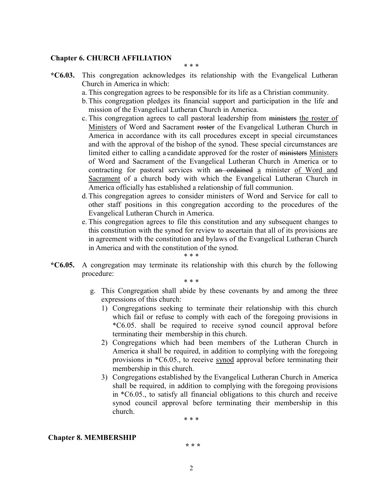## **Chapter 6. CHURCH AFFILIATION**

\* \* \*

- **\*C6.03.** This congregation acknowledges its relationship with the Evangelical Lutheran Church in America in which:
	- a. This congregation agrees to be responsible for its life as a Christian community.
	- b.This congregation pledges its financial support and participation in the life and mission of the Evangelical Lutheran Church in America.
	- c. This congregation agrees to call pastoral leadership from ministers the roster of Ministers of Word and Sacrament roster of the Evangelical Lutheran Church in America in accordance with its call procedures except in special circumstances and with the approval of the bishop of the synod. These special circumstances are limited either to calling a candidate approved for the roster of ministers Ministers of Word and Sacrament of the Evangelical Lutheran Church in America or to contracting for pastoral services with an ordained a minister of Word and Sacrament of a church body with which the Evangelical Lutheran Church in America officially has established a relationship of full communion.
	- d.This congregation agrees to consider ministers of Word and Service for call to other staff positions in this congregation according to the procedures of the Evangelical Lutheran Church in America.
	- e. This congregation agrees to file this constitution and any subsequent changes to this constitution with the synod for review to ascertain that all of its provisions are in agreement with the constitution and bylaws of the Evangelical Lutheran Church in America and with the constitution of the synod.
- \* \* \* **\*C6.05.** A congregation may terminate its relationship with this church by the following procedure:

\* \* \*

- g. This Congregation shall abide by these covenants by and among the three expressions of this church:
	- 1) Congregations seeking to terminate their relationship with this church which fail or refuse to comply with each of the foregoing provisions in \*C6.05. shall be required to receive synod council approval before terminating their membership in this church.
	- 2) Congregations which had been members of the Lutheran Church in America it shall be required, in addition to complying with the foregoing provisions in \*C6.05., to receive synod approval before terminating their membership in this church.
	- 3) Congregations established by the Evangelical Lutheran Church in America shall be required, in addition to complying with the foregoing provisions in \*C6.05., to satisfy all financial obligations to this church and receive synod council approval before terminating their membership in this church.

\* \* \*

### **Chapter 8. MEMBERSHIP**

**\* \* \***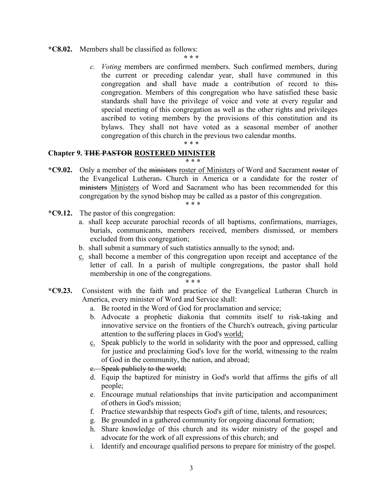**\*C8.02.** Members shall be classified as follows:

**\* \* \***

*c. Voting* members are confirmed members. Such confirmed members, during the current or preceding calendar year, shall have communed in this congregation and shall have made a contribution of record to this. congregation. Members of this congregation who have satisfied these basic standards shall have the privilege of voice and vote at every regular and special meeting of this congregation as well as the other rights and privileges ascribed to voting members by the provisions of this constitution and its bylaws. They shall not have voted as a seasonal member of another congregation of this church in the previous two calendar months.

#### \* \* \*

# **Chapter 9. THE PASTOR ROSTERED MINISTER**

### **\* \* \***

**\*C9.02.** Only a member of the ministers roster of Ministers of Word and Sacrament roster of the Evangelical Lutheran. Church in America or a candidate for the roster of ministers Ministers of Word and Sacrament who has been recommended for this congregation by the synod bishop may be called as a pastor of this congregation.

**\* \* \***

- \***C9.12.** The pastor of this congregation:
	- a. shall keep accurate parochial records of all baptisms, confirmations, marriages, burials, communicants, members received, members dismissed, or members excluded from this congregation;
	- b. shall submit a summary of such statistics annually to the synod; and-
	- c. shall become a member of this congregation upon receipt and acceptance of the letter of call. In a parish of multiple congregations, the pastor shall hold membership in one of the congregations.

**\* \* \***

- **\*C9.23.** Consistent with the faith and practice of the Evangelical Lutheran Church in America, every minister of Word and Service shall:
	- a. Be rooted in the Word of God for proclamation and service;
	- b. Advocate a prophetic diakonia that commits itself to risk-taking and innovative service on the frontiers of the Church's outreach, giving particular attention to the suffering places in God's world;
	- c. Speak publicly to the world in solidarity with the poor and oppressed, calling for justice and proclaiming God's love for the world, witnessing to the realm of God in the community, the nation, and abroad;
	- c. Speak publicly to the world;
	- d. Equip the baptized for ministry in God's world that affirms the gifts of all people;
	- e. Encourage mutual relationships that invite participation and accompaniment of others in God's mission;
	- f. Practice stewardship that respects God's gift of time, talents, and resources;
	- g. Be grounded in a gathered community for ongoing diaconal formation;
	- h. Share knowledge of this church and its wider ministry of the gospel and advocate for the work of all expressions of this church; and
	- i. Identify and encourage qualified persons to prepare for ministry of the gospel.